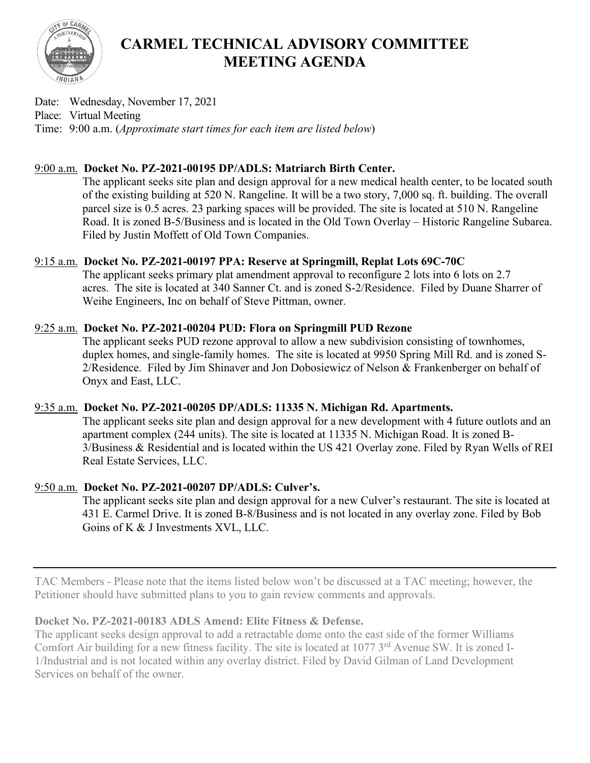

# **CARMEL TECHNICAL ADVISORY COMMITTEE MEETING AGENDA**

Date: Wednesday, November 17, 2021 Place: Virtual Meeting Time: 9:00 a.m. (*Approximate start times for each item are listed below*)

# 9:00 a.m. **Docket No. PZ-2021-00195 DP/ADLS: Matriarch Birth Center.**

The applicant seeks site plan and design approval for a new medical health center, to be located south of the existing building at 520 N. Rangeline. It will be a two story, 7,000 sq. ft. building. The overall parcel size is 0.5 acres. 23 parking spaces will be provided. The site is located at 510 N. Rangeline Road. It is zoned B-5/Business and is located in the Old Town Overlay – Historic Rangeline Subarea. Filed by Justin Moffett of Old Town Companies.

# 9:15 a.m. **Docket No. PZ-2021-00197 PPA: Reserve at Springmill, Replat Lots 69C-70C**

The applicant seeks primary plat amendment approval to reconfigure 2 lots into 6 lots on 2.7 acres. The site is located at 340 Sanner Ct. and is zoned S-2/Residence. Filed by Duane Sharrer of Weihe Engineers, Inc on behalf of Steve Pittman, owner.

# 9:25 a.m. **Docket No. PZ-2021-00204 PUD: Flora on Springmill PUD Rezone**

The applicant seeks PUD rezone approval to allow a new subdivision consisting of townhomes, duplex homes, and single-family homes. The site is located at 9950 Spring Mill Rd. and is zoned S-2/Residence. Filed by Jim Shinaver and Jon Dobosiewicz of Nelson & Frankenberger on behalf of Onyx and East, LLC.

#### 9:35 a.m. **Docket No. PZ-2021-00205 DP/ADLS: 11335 N. Michigan Rd. Apartments.**

The applicant seeks site plan and design approval for a new development with 4 future outlots and an apartment complex (244 units). The site is located at 11335 N. Michigan Road. It is zoned B-3/Business & Residential and is located within the US 421 Overlay zone. Filed by Ryan Wells of REI Real Estate Services, LLC.

# 9:50 a.m. **Docket No. PZ-2021-00207 DP/ADLS: Culver's.**

The applicant seeks site plan and design approval for a new Culver's restaurant. The site is located at 431 E. Carmel Drive. It is zoned B-8/Business and is not located in any overlay zone. Filed by Bob Goins of K & J Investments XVL, LLC.

TAC Members - Please note that the items listed below won't be discussed at a TAC meeting; however, the Petitioner should have submitted plans to you to gain review comments and approvals.

#### **Docket No. PZ-2021-00183 ADLS Amend: Elite Fitness & Defense.**

The applicant seeks design approval to add a retractable dome onto the east side of the former Williams Comfort Air building for a new fitness facility. The site is located at 1077 3<sup>rd</sup> Avenue SW. It is zoned I-1/Industrial and is not located within any overlay district. Filed by David Gilman of Land Development Services on behalf of the owner.